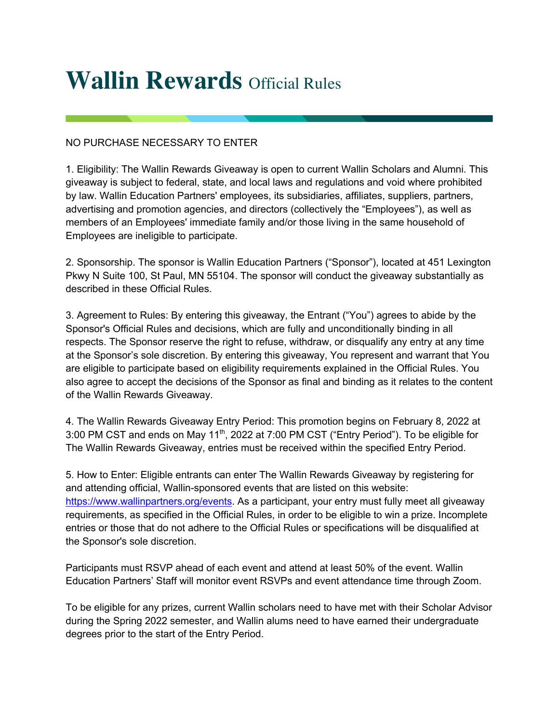## **Wallin Rewards** Official Rules

## NO PURCHASE NECESSARY TO ENTER

1. Eligibility: The Wallin Rewards Giveaway is open to current Wallin Scholars and Alumni. This giveaway is subject to federal, state, and local laws and regulations and void where prohibited by law. Wallin Education Partners' employees, its subsidiaries, affiliates, suppliers, partners, advertising and promotion agencies, and directors (collectively the "Employees"), as well as members of an Employees' immediate family and/or those living in the same household of Employees are ineligible to participate.

2. Sponsorship. The sponsor is Wallin Education Partners ("Sponsor"), located at 451 Lexington Pkwy N Suite 100, St Paul, MN 55104. The sponsor will conduct the giveaway substantially as described in these Official Rules.

3. Agreement to Rules: By entering this giveaway, the Entrant ("You") agrees to abide by the Sponsor's Official Rules and decisions, which are fully and unconditionally binding in all respects. The Sponsor reserve the right to refuse, withdraw, or disqualify any entry at any time at the Sponsor's sole discretion. By entering this giveaway, You represent and warrant that You are eligible to participate based on eligibility requirements explained in the Official Rules. You also agree to accept the decisions of the Sponsor as final and binding as it relates to the content of the Wallin Rewards Giveaway.

4. The Wallin Rewards Giveaway Entry Period: This promotion begins on February 8, 2022 at 3:00 PM CST and ends on May 11<sup>th</sup>, 2022 at 7:00 PM CST ("Entry Period"). To be eligible for The Wallin Rewards Giveaway, entries must be received within the specified Entry Period.

5. How to Enter: Eligible entrants can enter The Wallin Rewards Giveaway by registering for and attending official, Wallin-sponsored events that are listed on this website: https://www.wallinpartners.org/events. As a participant, your entry must fully meet all giveaway requirements, as specified in the Official Rules, in order to be eligible to win a prize. Incomplete entries or those that do not adhere to the Official Rules or specifications will be disqualified at the Sponsor's sole discretion.

Participants must RSVP ahead of each event and attend at least 50% of the event. Wallin Education Partners' Staff will monitor event RSVPs and event attendance time through Zoom.

To be eligible for any prizes, current Wallin scholars need to have met with their Scholar Advisor during the Spring 2022 semester, and Wallin alums need to have earned their undergraduate degrees prior to the start of the Entry Period.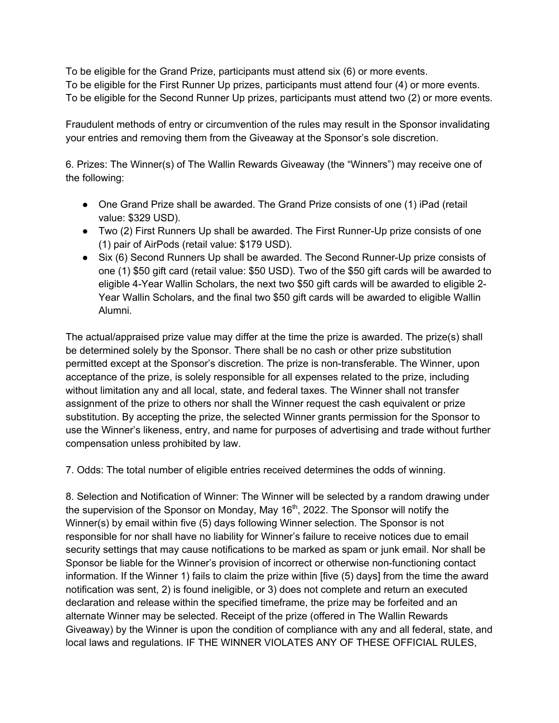To be eligible for the Grand Prize, participants must attend six (6) or more events. To be eligible for the First Runner Up prizes, participants must attend four (4) or more events. To be eligible for the Second Runner Up prizes, participants must attend two (2) or more events.

Fraudulent methods of entry or circumvention of the rules may result in the Sponsor invalidating your entries and removing them from the Giveaway at the Sponsor's sole discretion.

6. Prizes: The Winner(s) of The Wallin Rewards Giveaway (the "Winners") may receive one of the following:

- One Grand Prize shall be awarded. The Grand Prize consists of one (1) iPad (retail value: \$329 USD).
- Two (2) First Runners Up shall be awarded. The First Runner-Up prize consists of one (1) pair of AirPods (retail value: \$179 USD).
- Six (6) Second Runners Up shall be awarded. The Second Runner-Up prize consists of one (1) \$50 gift card (retail value: \$50 USD). Two of the \$50 gift cards will be awarded to eligible 4-Year Wallin Scholars, the next two \$50 gift cards will be awarded to eligible 2- Year Wallin Scholars, and the final two \$50 gift cards will be awarded to eligible Wallin Alumni.

The actual/appraised prize value may differ at the time the prize is awarded. The prize(s) shall be determined solely by the Sponsor. There shall be no cash or other prize substitution permitted except at the Sponsor's discretion. The prize is non-transferable. The Winner, upon acceptance of the prize, is solely responsible for all expenses related to the prize, including without limitation any and all local, state, and federal taxes. The Winner shall not transfer assignment of the prize to others nor shall the Winner request the cash equivalent or prize substitution. By accepting the prize, the selected Winner grants permission for the Sponsor to use the Winner's likeness, entry, and name for purposes of advertising and trade without further compensation unless prohibited by law.

7. Odds: The total number of eligible entries received determines the odds of winning.

8. Selection and Notification of Winner: The Winner will be selected by a random drawing under the supervision of the Sponsor on Monday, May  $16<sup>th</sup>$ , 2022. The Sponsor will notify the Winner(s) by email within five (5) days following Winner selection. The Sponsor is not responsible for nor shall have no liability for Winner's failure to receive notices due to email security settings that may cause notifications to be marked as spam or junk email. Nor shall be Sponsor be liable for the Winner's provision of incorrect or otherwise non-functioning contact information. If the Winner 1) fails to claim the prize within [five (5) days] from the time the award notification was sent, 2) is found ineligible, or 3) does not complete and return an executed declaration and release within the specified timeframe, the prize may be forfeited and an alternate Winner may be selected. Receipt of the prize (offered in The Wallin Rewards Giveaway) by the Winner is upon the condition of compliance with any and all federal, state, and local laws and regulations. IF THE WINNER VIOLATES ANY OF THESE OFFICIAL RULES,